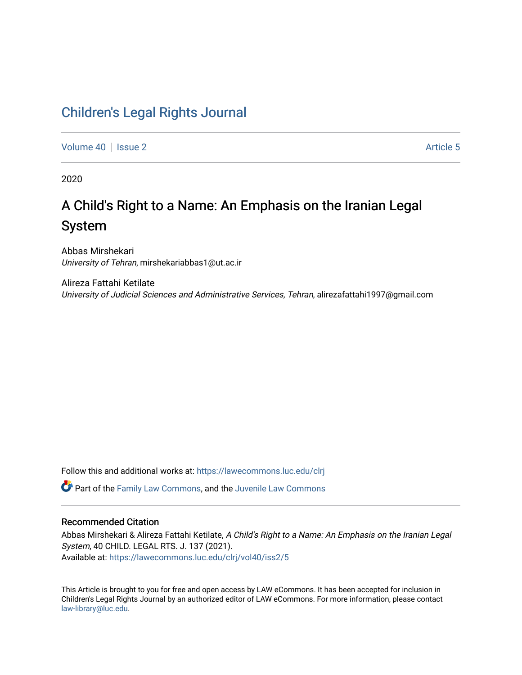## [Children's Legal Rights Journal](https://lawecommons.luc.edu/clrj)

[Volume 40](https://lawecommons.luc.edu/clrj/vol40) | [Issue 2](https://lawecommons.luc.edu/clrj/vol40/iss2) Article 5

2020

# A Child's Right to a Name: An Emphasis on the Iranian Legal System

Abbas Mirshekari University of Tehran, mirshekariabbas1@ut.ac.ir

Alireza Fattahi Ketilate University of Judicial Sciences and Administrative Services, Tehran, alirezafattahi1997@gmail.com

Follow this and additional works at: [https://lawecommons.luc.edu/clrj](https://lawecommons.luc.edu/clrj?utm_source=lawecommons.luc.edu%2Fclrj%2Fvol40%2Fiss2%2F5&utm_medium=PDF&utm_campaign=PDFCoverPages)

Part of the [Family Law Commons,](http://network.bepress.com/hgg/discipline/602?utm_source=lawecommons.luc.edu%2Fclrj%2Fvol40%2Fiss2%2F5&utm_medium=PDF&utm_campaign=PDFCoverPages) and the [Juvenile Law Commons](http://network.bepress.com/hgg/discipline/851?utm_source=lawecommons.luc.edu%2Fclrj%2Fvol40%2Fiss2%2F5&utm_medium=PDF&utm_campaign=PDFCoverPages) 

#### Recommended Citation

Abbas Mirshekari & Alireza Fattahi Ketilate, A Child's Right to a Name: An Emphasis on the Iranian Legal System, 40 CHILD. LEGAL RTS. J. 137 (2021). Available at: [https://lawecommons.luc.edu/clrj/vol40/iss2/5](https://lawecommons.luc.edu/clrj/vol40/iss2/5?utm_source=lawecommons.luc.edu%2Fclrj%2Fvol40%2Fiss2%2F5&utm_medium=PDF&utm_campaign=PDFCoverPages) 

This Article is brought to you for free and open access by LAW eCommons. It has been accepted for inclusion in Children's Legal Rights Journal by an authorized editor of LAW eCommons. For more information, please contact [law-library@luc.edu](mailto:law-library@luc.edu).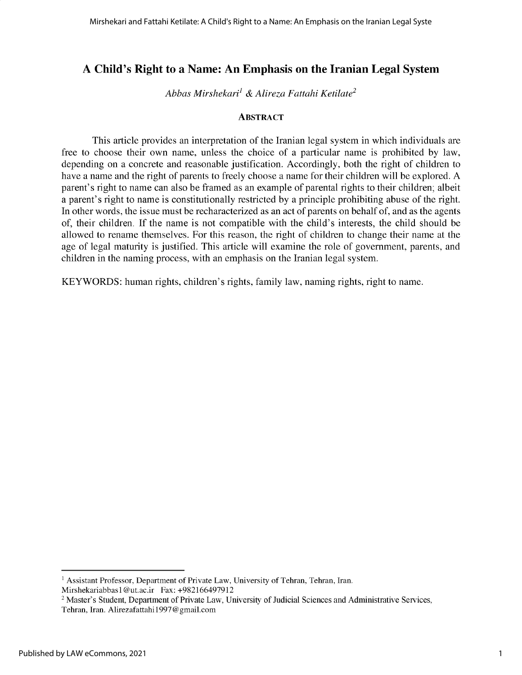### **A Child's Right to a Name: An Emphasis on the Iranian Legal System**

*Abbas Mirshekari' & Alireza Fattahi Ketilate<sup>2</sup>*

#### **ABSTRACT**

This article provides an interpretation of the Iranian legal system in which individuals are free to choose their own name, unless the choice of a particular name is prohibited by law, depending on a concrete and reasonable justification. Accordingly, both the right of children to have a name and the right of parents to freely choose a name for their children will be explored. A parent's right to name can also be framed as an example of parental rights to their children; albeit a parent's right to name is constitutionally restricted by a principle prohibiting abuse of the right. In other words, the issue must be recharacterized as an act of parents on behalf of, and as the agents of, their children. If the name is not compatible with the child's interests, the child should be allowed to rename themselves. For this reason, the right of children to change their name at the age of legal maturity is justified. This article will examine the role of government, parents, and children in the naming process, with an emphasis on the Iranian legal system.

KEYWORDS: human rights, children's rights, family law, naming rights, right to name.

<sup>&</sup>lt;sup>1</sup> Assistant Professor, Department of Private Law, University of Tehran, Tehran, Iran.

Mirshekariabbas1@ut.ac.ir Fax: +982166497912

<sup>&</sup>lt;sup>2</sup> Master's Student, Department of Private Law, University of Judicial Sciences and Administrative Services, Tehran, Iran. Alirezafattahil997@gmail.com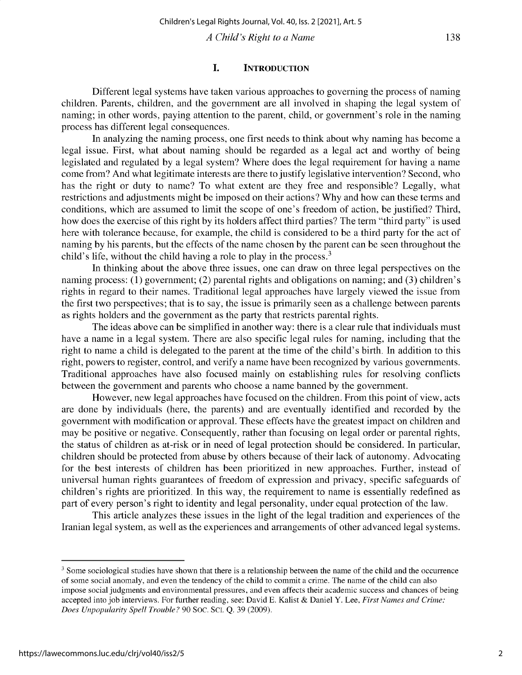*A Child's Right to a Name*

#### **I. INTRODUCTION**

**Different legal systems have taken various approaches to governing the process of naming children. Parents, children, and the government are all involved in shaping the legal system of naming; in other words, paying attention to the parent, child, or government's role in the naming process has different legal consequences.**

**In analyzing the naming process, one first needs to think about why naming has become a legal issue. First, what about naming should be regarded as a legal act and worthy of being legislated and regulated by a legal system? Where does the legal requirement for having a name** come from? And what legitimate interests are there to justify legislative intervention? Second, who has the right or duty to name? To what extent are they free and responsible? Legally, what **restrictions and adjustments might be imposed on their actions?** Why and **how can these terms and conditions, which are assumed to limit the scope of one's freedom of action, be justified? Third,** how does the exercise of this right by its holders affect third parties? The term "third party" is used here with tolerance because, for example, the child is considered to be a third party for the act of naming by his parents, but the effects of the name chosen by the parent can be seen throughout the child's life, without the child having a role to play in the process.<sup>3</sup>

In thinking about the above three issues, one can draw on three legal perspectives on the **naming process: (1) government; (2) parental rights and obligations on naming; and (3) children's rights in regard to their names. Traditional legal approaches have largely viewed the issue from** the first two perspectives; that is to say, the issue is primarily seen as a challenge between parents **as rights holders and the government as the party that restricts parental rights.**

**The ideas above can be simplified in another way: there is a clear rule that individuals must have a name in a legal system. There are also specific legal rules for naming, including that the right to name a child is delegated to the parent at the time of the child's birth. In addition to this right, powers to register, control, and verify a name have been recognized by various governments. Traditional approaches have also focused mainly on establishing rules for resolving conflicts between the government and parents who choose a name banned by the government.**

However, new legal approaches have focused on the children. From this point of view, acts are done by individuals (here, the parents) and are eventually identified and recorded by the **government with modification or approval. These effects have the greatest impact on children and** may be positive or negative. Consequently, rather than focusing on legal order or parental rights, **the status of children as at-risk or in need of legal protection should be considered. In particular,** children should be protected from abuse by others because of their lack of autonomy. Advocating **for the best interests of children has been prioritized in new approaches. Further, instead of universal human rights guarantees of freedom of expression and privacy, specific safeguards of children's rights are prioritized. In this way, the requirement to name is essentially redefined as** part of every person's right to identity and legal personality, under equal protection of the law.

**This article analyzes these issues in the light of the legal tradition and experiences of the Iranian legal system, as well as the experiences and arrangements of other advanced legal systems.**

**<sup>3</sup> Some sociological studies have shown that there is a relationship between the name of the child and the occurrence of some social anomaly, and even the tendency of the child to commit a crime. The name of the child can also impose social judgments and environmental pressures, and even affects their academic success and chances of being** accepted into job interviews. For further reading, see: David E. Kalist & Daniel *Y.* Lee, *First Names and Crime: Does Unpopularity Spell Trouble?* 90 Soc. Sci. Q. 39 (2009).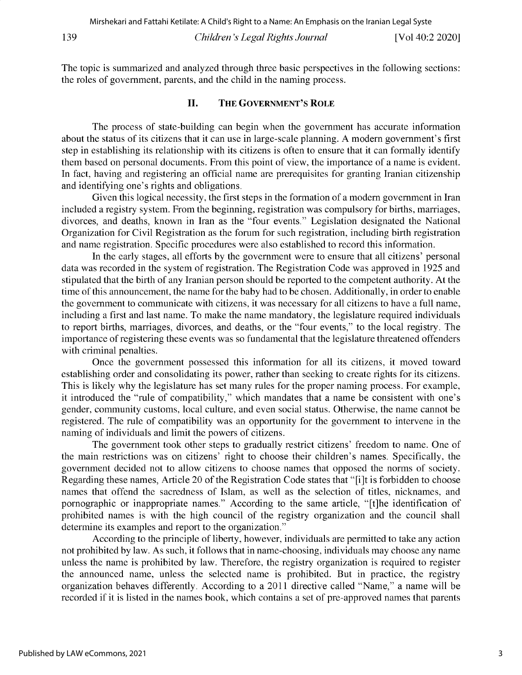The topic is summarized and analyzed through three basic perspectives in the following sections: the roles of government, parents, and the child in the naming process.

#### **II. THE GOVERNMENT'S ROLE**

The process of state-building can begin when the government has accurate information about the status of its citizens that it can use in large-scale planning. A modern government's first step in establishing its relationship with its citizens is often to ensure that it can formally identify them based on personal documents. From this point of view, the importance of a name is evident. In fact, having and registering an official name are prerequisites for granting Iranian citizenship and identifying one's rights and obligations.

Given this logical necessity, the first steps in the formation of a modern government in Iran included a registry system. From the beginning, registration was compulsory for births, marriages, divorces, and deaths, known in Iran as the "four events." Legislation designated the National Organization for Civil Registration as the forum for such registration, including birth registration and name registration. Specific procedures were also established to record this information.

In the early stages, all efforts by the government were to ensure that all citizens' personal data was recorded in the system of registration. The Registration Code was approved in 1925 and stipulated that the birth of any Iranian person should be reported to the competent authority. At the time of this announcement, the name for the baby had to be chosen. Additionally, in order to enable the government to communicate with citizens, it was necessary for all citizens to have a full name, including a first and last name. To make the name mandatory, the legislature required individuals to report births, marriages, divorces, and deaths, or the "four events," to the local registry. The importance of registering these events was so fundamental that the legislature threatened offenders with criminal penalties.

Once the government possessed this information for all its citizens, it moved toward establishing order and consolidating its power, rather than seeking to create rights for its citizens. This is likely why the legislature has set many rules for the proper naming process. For example, it introduced the "rule of compatibility," which mandates that a name be consistent with one's gender, community customs, local culture, and even social status. Otherwise, the name cannot be registered. The rule of compatibility was an opportunity for the government to intervene in the naming of individuals and limit the powers of citizens.

The government took other steps to gradually restrict citizens' freedom to name. One of the main restrictions was on citizens' right to choose their children's names. Specifically, the government decided not to allow citizens to choose names that opposed the norms of society. Regarding these names, Article 20 of the Registration Code states that "[i]t is forbidden to choose names that offend the sacredness of Islam, as well as the selection of titles, nicknames, and pornographic or inappropriate names." According to the same article, "[t]he identification of prohibited names is with the high council of the registry organization and the council shall determine its examples and report to the organization."

According to the principle of liberty, however, individuals are permitted to take any action not prohibited by law. As such, it follows that in name-choosing, individuals may choose any name unless the name is prohibited by law. Therefore, the registry organization is required to register the announced name, unless the selected name is prohibited. But in practice, the registry organization behaves differently. According to a 2011 directive called "Name," a name will be recorded if it is listed in the names book, which contains a set of pre-approved names that parents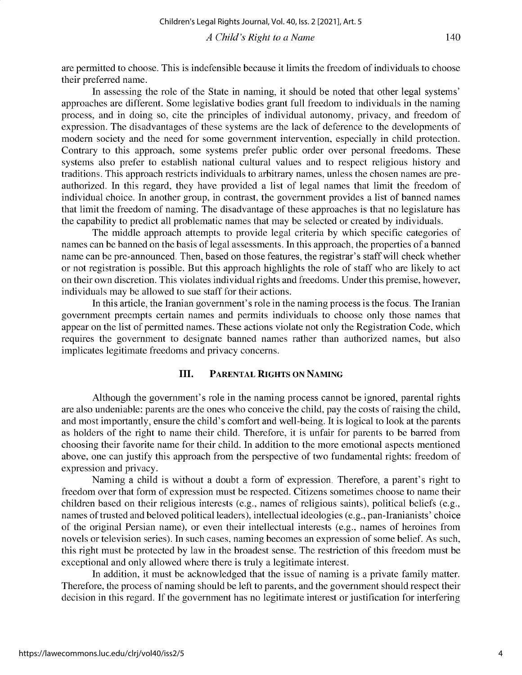are permitted to choose. This is indefensible because it limits the freedom of individuals to choose their preferred name.

**In assessing the role of the State in naming, it should be noted that other legal systems' approaches are different. Some legislative bodies grant full freedom to individuals in the naming process, and in doing so, cite the principles of individual autonomy, privacy, and freedom of** expression. The disadvantages of these systems are the lack of deference to the developments of **modern society and the need for some government intervention, especially in child protection.** Contrary to this approach, some systems prefer public order over personal freedoms. These systems also prefer to establish national cultural values and to respect religious history and **traditions. This approach restricts individuals to arbitrary names, unless the chosen names are preauthorized. In this regard, they have provided a list of legal names that limit the freedom of individual choice. In another group, in contrast, the government provides a list of banned names that limit the freedom of naming. The disadvantage of these approaches is that no legislature has the capability to predict all problematic names that may be selected or created by individuals.**

**The middle approach attempts to provide legal criteria by which specific categories of names can be banned on the basis of legal assessments. In this approach, the properties of a banned name can be pre-announced. Then, based on those features, the registrar's staff will check whether or not registration is possible. But this approach highlights the role of staff who are likely to act on their own discretion. This violates individual rights and freedoms. Under this premise, however, individuals may be allowed to sue staff for their actions.**

**In this article, the Iranian government's role in the naming process is the focus. The Iranian government preempts certain names and permits individuals to choose only those names that appear on the list of permitted names. These actions violate not only the Registration Code, which requires the government to designate banned names rather than authorized names, but also implicates legitimate freedoms and privacy concerns.**

#### **III. PARENTAL RIGHTS ON NAMING**

Although **the government's role in the naming process cannot be ignored, parental rights** are also undeniable: parents are the ones who conceive the child, pay the costs of raising the child, **and most importantly, ensure the child's comfort and well-being. It is logical to look at the parents** as holders of the right to name their child. Therefore, it is unfair for parents to be barred from **choosing their favorite name for their child. In addition to the more emotional aspects mentioned** above, one can justify this approach from the perspective of two fundamental rights: freedom of expression and privacy.

**Naming a child is without a doubt a form of expression. Therefore, a parent's right to freedom over that form of expression must be respected. Citizens sometimes choose to name their** children based on their religious interests (e.g., names of religious saints), political beliefs (e.g., **names of trusted and beloved political leaders), intellectual ideologies (e.g., pan-Iranianists' choice** of the original Persian name), or even their intellectual interests (e.g., names of heroines from **novels or television series). In such cases, naming becomes an expression of some belief. As such,** this right must be protected by law in the broadest sense. The restriction of this freedom must be **exceptional and only allowed where there is truly a legitimate interest.**

**In addition, it must be acknowledged that the issue of naming is a private family matter. Therefore, the process of naming should be left to parents, and the government should respect their decision in this regard. If the government has no legitimate interest or justification for interfering**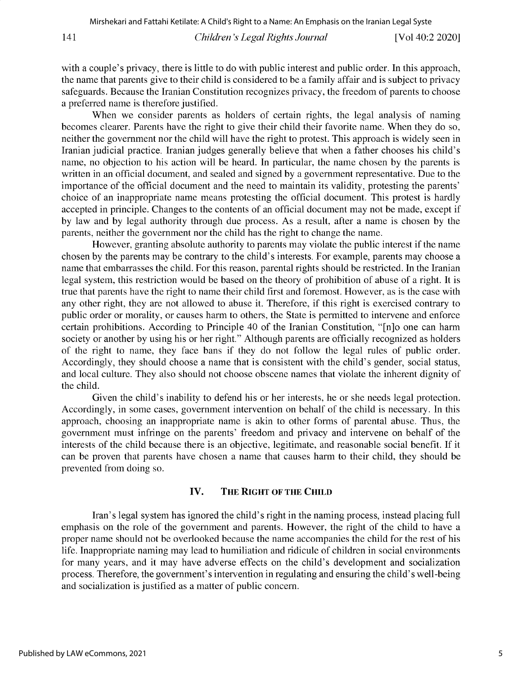*Children's Legal Rights Journal* 141 [Vol 40:2 2020]

with a couple's privacy, there is little to do with public interest and public order. In this approach, the name that parents give to their child is considered to be a family affair and is subject to privacy safeguards. Because the Iranian Constitution recognizes privacy, the freedom of parents to choose a preferred name is therefore justified.

When we consider parents as holders of certain rights, the legal analysis of naming becomes clearer. Parents have the right to give their child their favorite name. When they do so, neither the government nor the child will have the right to protest. This approach is widely seen in Iranian judicial practice. Iranian judges generally believe that when a father chooses his child's name, no objection to his action will be heard. In particular, the name chosen by the parents is written in an official document, and sealed and signed by a government representative. Due to the importance of the official document and the need to maintain its validity, protesting the parents' choice of an inappropriate name means protesting the official document. This protest is hardly accepted in principle. Changes to the contents of an official document may not be made, except if by law and by legal authority through due process. As a result, after a name is chosen by the parents, neither the government nor the child has the right to change the name.

However, granting absolute authority to parents may violate the public interest if the name chosen by the parents may be contrary to the child's interests. For example, parents may choose a name that embarrasses the child. For this reason, parental rights should be restricted. In the Iranian legal system, this restriction would be based on the theory of prohibition of abuse of a right. It is true that parents have the right to name their child first and foremost. However, as is the case with any other right, they are not allowed to abuse it. Therefore, if this right is exercised contrary to public order or morality, or causes harm to others, the State is permitted to intervene and enforce certain prohibitions. According to Principle 40 of the Iranian Constitution, "[n]o one can harm society or another by using his or her right." Although parents are officially recognized as holders of the right to name, they face bans if they do not follow the legal rules of public order. Accordingly, they should choose a name that is consistent with the child's gender, social status, and local culture. They also should not choose obscene names that violate the inherent dignity of the child.

Given the child's inability to defend his or her interests, he or she needs legal protection. Accordingly, in some cases, government intervention on behalf of the child is necessary. In this approach, choosing an inappropriate name is akin to other forms of parental abuse. Thus, the government must infringe on the parents' freedom and privacy and intervene on behalf of the interests of the child because there is an objective, legitimate, and reasonable social benefit. If it can be proven that parents have chosen a name that causes harm to their child, they should be prevented from doing so.

#### **IV. THE RIGHT OF THE CHILD**

Iran's **legal** system has ignored the child's right in the naming process, instead placing full emphasis on the role of the government and parents. However, the right of the child to have a proper name should not be overlooked because the name accompanies the child for the rest of his life. Inappropriate naming may lead to humiliation and ridicule of children in social environments for many years, and it may have adverse effects on the child's development and socialization process. Therefore, the government's intervention in regulating and ensuring the child's well-being and socialization is justified as a matter of public concern.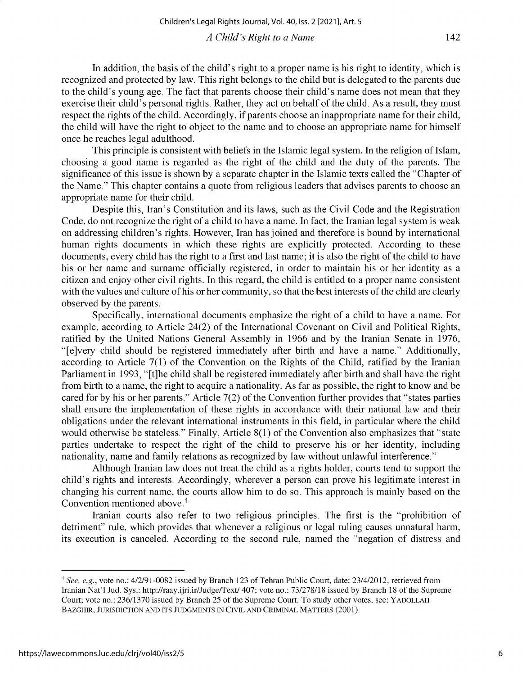In addition, the basis of the child's right to a proper name is his right to identity, which is recognized and protected by law. This right belongs to the child but is delegated to the parents due to the child's young age. The fact that parents choose their child's name does not mean that they exercise their child's personal rights. Rather, they act on behalf of the child. As a result, they must respect the rights of the child. Accordingly, if parents choose an inappropriate name for their child, the child will have the right to object to the name and to choose an appropriate name for himself once he reaches legal adulthood.

This principle is consistent with beliefs in the Islamic legal system. In the religion of Islam, choosing a good name is regarded as the right of the child and the duty of the parents. The significance of this issue is shown by a separate chapter in the Islamic texts called the "Chapter of the Name." This chapter contains a quote from religious leaders that advises parents to choose an appropriate name for their child.

Despite this, Iran's Constitution and its laws, such as the Civil Code and the Registration Code, do not recognize the right of a child to have a name. In fact, the Iranian legal system is weak on addressing children's rights. However, Iran has joined and therefore is bound by international human rights documents in which these rights are explicitly protected. According to these documents, every child has the right to a first and last name; it is also the right of the child to have his or her name and surname officially registered, in order to maintain his or her identity as a citizen and enjoy other civil rights. In this regard, the child is entitled to a proper name consistent with the values and culture of his or her community, so that the best interests of the child are clearly observed by the parents.

Specifically, international documents emphasize the right of a child to have a name. For example, according to Article 24(2) of the International Covenant on Civil and Political Rights, ratified by the United Nations General Assembly in 1966 and by the Iranian Senate in 1976, "[e]very child should be registered immediately after birth and have a name." Additionally, according to Article 7(1) of the Convention on the Rights of the Child, ratified by the Iranian Parliament in 1993, "[t]he child shall be registered immediately after birth and shall have the right from birth to a name, the right to acquire a nationality. As far as possible, the right to know and be cared for by his or her parents." Article 7(2) of the Convention further provides that "states parties shall ensure the implementation of these rights in accordance with their national law and their obligations under the relevant international instruments in this field, in particular where the child would otherwise be stateless." Finally, Article 8(1) of the Convention also emphasizes that "state parties undertake to respect the right of the child to preserve his or her identity, including nationality, name and family relations as recognized by law without unlawful interference."

Although Iranian law does not treat the child as a rights holder, courts tend to support the child's rights and interests. Accordingly, wherever a person can prove his legitimate interest in changing his current name, the courts allow him to do so. This approach is mainly based on the Convention mentioned above. <sup>4</sup>

Iranian courts also refer to two religious principles. The first is the "prohibition of detriment" rule, which provides that whenever a religious or legal ruling causes unnatural harm, its execution is canceled. According to the second rule, named the "negation of distress and

142

*<sup>4</sup>*See, e.g., vote no.: 4/2/91-0082 issued by Branch 123 of Tehran Public Court, date: 23/4/2012, retrieved from Iranian Nat'l Jud. Sys.: http://raay.ijri.ir/Judge/Text/ 407; vote no.: 73/278/18 issued by Branch 18 of the Supreme Court; vote no.: 236/1370 issued by Branch 25 of the Supreme Court. To study other votes, see: **YADOLLAH BAZGHIR, JURISDICTION AND ITS JUDGMENTS IN** CIVIL **AND CRIMINAL MATTERS** (2001).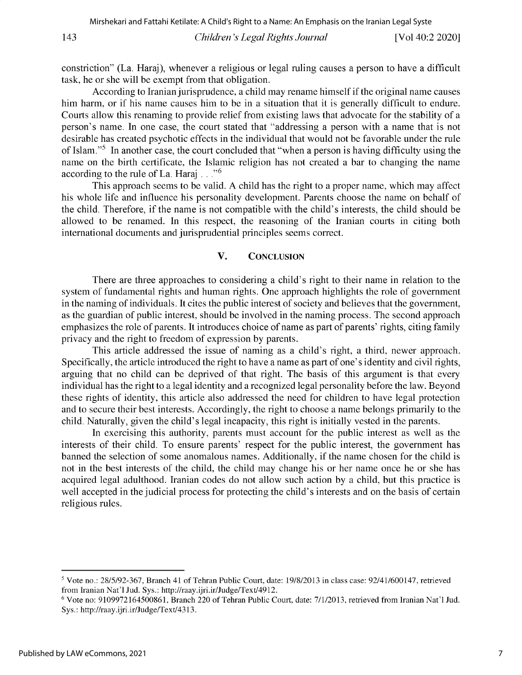*Children's Legal Rights Journal* 143 [Vol 40:2 2020]

constriction" (La. Haraj), whenever a religious or legal ruling causes a person to have a difficult task, he or she will be exempt from that obligation.

According to Iranian jurisprudence, a child may rename himself if the original name causes him harm, or if his name causes him to be in a situation that it is generally difficult to endure. Courts allow this renaming to provide relief from existing laws that advocate for the stability of a person's name. In one case, the court stated that "addressing a person with a name that is not desirable has created psychotic effects in the individual that would not be favorable under the rule of Islam."<sup>5</sup> In another case, the court concluded that "when a person is having difficulty using the name on the birth certificate, the Islamic religion has not created a bar to changing the name according to the rule of La. Haraj ... "6

This approach seems to be valid. A child has the right to a proper name, which may affect his whole life and influence his personality development. Parents choose the name on behalf of the child. Therefore, if the name is not compatible with the child's interests, the child should be allowed to be renamed. In this respect, the reasoning of the Iranian courts in citing both international documents and jurisprudential principles seems correct.

#### **V. CONCLUSION**

There are three approaches to considering a child's right to their name in relation to the system of fundamental rights and human rights. One approach highlights the role of government in the naming of individuals. It cites the public interest of society and believes that the government, as the guardian of public interest, should be involved in the naming process. The second approach emphasizes the role of parents. It introduces choice of name as part of parents' rights, citing family privacy and the right to freedom of expression by parents.

This article addressed the issue of naming as a child's right, a third, newer approach. Specifically, the article introduced the right to have a name as part of one's identity and civil rights, arguing that no child can be deprived of that right. The basis of this argument is that every individual has the right to a legal identity and a recognized legal personality before the law. Beyond these rights of identity, this article also addressed the need for children to have legal protection and to secure their best interests. Accordingly, the right to choose a name belongs primarily to the child. Naturally, given the child's legal incapacity, this right is initially vested in the parents.

In exercising this authority, parents must account for the public interest as well as the interests of their child. To ensure parents' respect for the public interest, the government has banned the selection of some anomalous names. Additionally, if the name chosen for the child is not in the best interests of the child, the child may change his or her name once he or she has acquired legal adulthood. Iranian codes do not allow such action by a child, but this practice is well accepted in the judicial process for protecting the child's interests and on the basis of certain religious rules.

<sup>5</sup> Vote no.: 28/5/92-367, Branch 41 of Tehran Public Court, date: 19/8/2013 in class case: 92/41/600147, retrieved from Iranian Nat'l Jud. Sys.: http://raay.ijri.ir/Judge/Text/4912.

 $6$  Vote no: 9109972164500861, Branch 220 of Tehran Public Court, date:  $7/1/2013$ , retrieved from Iranian Nat'l Jud. Sys.: http://raay.ijri.ir/Judge/Text/4313.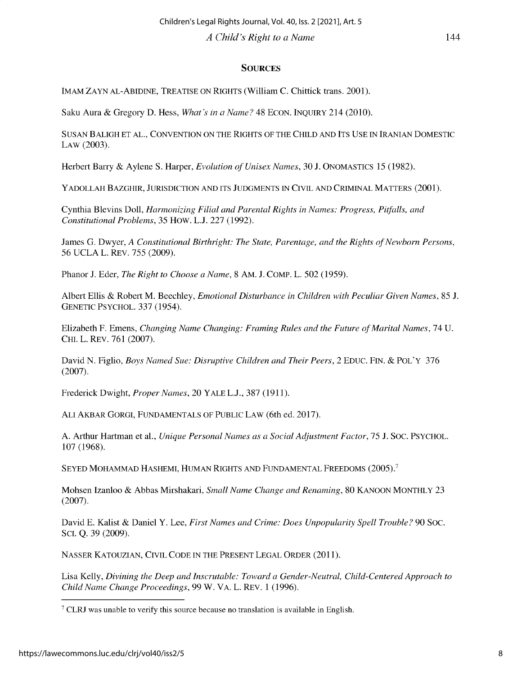#### **SOURCES**

IMAM ZAYN AL-ABIDINE, TREATISE ON RIGHTS (William C. Chittick trans. 2001).

Saku Aura & Gregory D. Hess, *What's in a Name?* 48 ECON. INQUIRY 214 (2010).

SUSAN BALIGH ET AL., CONVENTION ON THE RIGHTS OF THE CHILD AND ITS USE IN IRANIAN DOMESTIC LAW (2003).

Herbert Barry & Aylene S. Harper, *Evolution of Unisex Names,* 30 J. ONOMASTICS 15 (1982).

YADOLLAH BAZGHIR, JURISDICTION AND ITS JUDGMENTS IN CIVIL AND CRIMINAL MATTERS (2001).

Cynthia Blevins Doll, *Harmonizing Filial and Parental Rights in Names: Progress, Pitfalls, and Constitutional Problems, 35* How. L.J. 227 (1992).

James G. Dwyer, *A Constitutional Birthright: The State, Parentage, and the Rights of Newborn Persons, 56* UCLA L. REV. *755* (2009).

Phanor J. Eder, *The Right to Choose a Name,* 8 AM. J. COMP. L. *502* (1959).

Albert Ellis & Robert M. Beechley, *Emotional Disturbance in Children with Peculiar Given Names, 85* **J.** GENETIC PSYCHOL. 337 *(1954).*

Elizabeth F. Emens, *Changing Name Changing: Framing Rules and the Future of Marital Names, 74* U. CHI. L. REV. 761 (2007).

David N. Figlio, *Boys Named Sue: Disruptive Children and Their Peers,* 2 EDUC. FIN. & POL'Y 376 (2007).

Frederick Dwight, *Proper Names,* 20 YALE L.J., 387 (1911).

ALI AKBAR GORGI, FUNDAMENTALS OF PUBLIC LAW (6th ed. 2017).

A. Arthur **Hartman et** al., *Unique Personal Names as a Social Adjustment Factor, 75* J. SOC. PSYCHOL. 107 (1968).

SEYED MOHAMMAD HASHEMI, HUMAN RIGHTS AND FUNDAMENTAL FREEDOMS (2005).

Mohsen Izanloo & Abbas Mirshakari, *Small Name Change and Renaming,* 80 KANOON MONTHLY 23 (2007).

David E. Kalist & Daniel Y. Lee, *First Names and Crime: Does Unpopularity Spell Trouble?* 90 SOC. SCI. Q. 39 (2009).

NASSER KATOUZIAN, CIVIL CODE IN THE PRESENT LEGAL ORDER (2011).

Lisa Kelly, *Divining the Deep and Inscrutable: Toward a Gender-Neutral, Child-Centered Approach to Child Name Change Proceedings,* 99 W. VA. L. REV. 1 (1996).

144

<sup>7</sup>CLRJ was unable to verify this source because no **translation** is available in English.